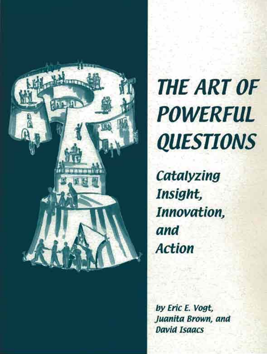

# **THE ART OF POWERFUL QUESTIONS**

Catalyzing Insight, Innovation, and **Action** 

by Eric E. Vogt, Juanita Brown, and **David Isaacs**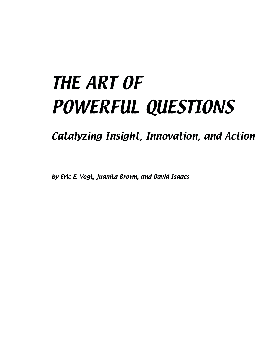## THE ART OF POWERFUL QUESTIONS

Catalyzing Insight, Innovation, and Action

by Eric E. Vogt, Juanita Brown, and David Isaacs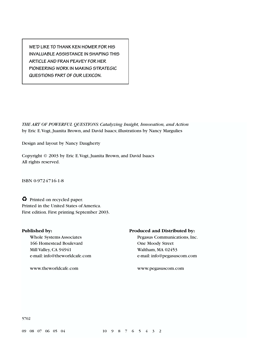**WE'D LIKE TO THANK KEN HOMER FOR HIS INVALUABLE ASSISTANCE IN SHAPING THIS ARTICLE AND FRAN PEAVEY FOR HER PIONEERING WORK IN MAKING STRATEGIC QUESTIONS PART OF OUR LEXICON.**

*THE ART OF POWERFUL QUESTIONS: Catalyzing Insight, Innovation, and Action* by Eric E.Vogt, Juanita Brown, and David Isaacs; illustrations by Nancy Margulies

Design and layout by Nancy Daugherty

Copyright © 2003 by Eric E.Vogt, Juanita Brown, and David Isaacs All rights reserved.

ISBN 0-9724716-1-8

 $\bullet$  Printed on recycled paper. Printed in the United States of America. First edition. First printing September 2003.

166 Homestead Boulevard **One Moody Street** Mill Valley, CA 94941 Waltham, MA 02453 e-mail: info@theworldcafe.com e-mail: info@pegasuscom.com

www.theworldcafe.com www.pegasuscom.com

#### **Published by: Produced and Distributed by:**

Whole Systems Associates Pegasus Communications, Inc.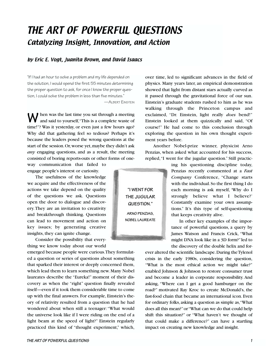### THE ART OF POWERFUL QUESTIONS Catalyzing Insight, Innovation, and Action

#### by Eric E. Vogt, Juanita Brown, and David Isaacs

"If I had an hour to solve a problem and my life depended on the solution, I would spend the first 55 minutes determining the proper question to ask, for once I know the proper question, I could solve the problem in less than five minutes."

—ALBERT EINSTEIN

**W** hen was the last time you sat through a meeting and said to yourself,"This is a complete waste of time!"? Was it yesterday, or even just a few hours ago? Why did that gathering feel so tedious? Perhaps it's because the leaders posed the wrong questions at the start of the session.Or,worse yet,maybe they didn't ask *any* engaging questions, and as a result, the meeting consisted of boring reports-outs or other forms of one-

way communication that failed to engage people's interest or curiosity.

The usefulness of the knowledge we acquire and the effectiveness of the actions we take depend on the quality of the questions we ask. Questions open the door to dialogue and discovery.They are an invitation to creativity and breakthrough thinking. Questions can lead to movement and action on key issues; by generating creative insights, they can ignite change.

Consider the possibility that everything we know today about our world

emerged because people were curious.They formulated a question or series of questions about something that sparked their interest or deeply concerned them, which lead them to learn something new.Many Nobel laureates describe the "Eureka!" moment of their discovery as when the "right" question finally revealed itself—even if it took them considerable time to come up with the final answers. For example, Einstein's theory of relativity resulted from a question that he had wondered about when still a teenager:"What would the universe look like if I were riding on the end of a light beam at the speed of light?" Einstein regularly practiced this kind of "thought experiment," which, over time, led to significant advances in the field of physics. Many years later, an empirical demonstration showed that light from distant stars actually curved as it passed through the gravitational force of our sun. Einstein's graduate students rushed to him as he was walking through the Princeton campus and exclaimed, "Dr. Einstein, light really *does* bend!" Einstein looked at them quizzically and said, "Of course!" He had come to this conclusion through exploring the question in his own thought experiment years before.

Another Nobel-prize winner, physicist Arno Penzias, when asked what accounted for his success, replied,"I went for the jugular question." Still practic-

> ing his questioning discipline today, Penzias recently commented at a *Fast Company* Conference, "Change starts with the individual.So the first thing I do each morning is ask myself, 'Why do I strongly believe what I believe?' Constantly examine your own assumptions." It's this type of self-questioning that keeps creativity alive.

> In other key examples of the importance of powerful questions, a query by James Watson and Francis Crick, "What might DNA look like in a 3D form?"led to the discovery of the double helix and for-

ever altered the scientific landscape.During the Tylenol crisis in the early 1980s, considering the question, "What is the most ethical action we might take?" enabled Johnson & Johnson to restore consumer trust and become a leader in corporate responsibility. And asking, "Where can I get a good hamburger on the road?" motivated Ray Kroc to create McDonald's, the fast-food chain that became an international icon. Even for ordinary folks, asking a question as simple as,"What does all this mean?"or "What can we do that could help shift this situation?" or "What haven't we thought of that could make a difference?" can have a startling impact on creating new knowledge and insight.

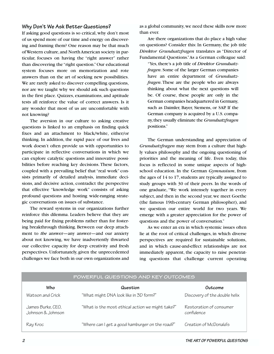#### **Why Don't We Ask Better Questions?**

If asking good questions is so critical, why don't most of us spend more of our time and energy on discovering and framing them? One reason may be that much of Western culture,and North American society in particular, focuses on having the "right answer" rather than discovering the "right question."Our educational system focuses more on memorization and rote answers than on the art of seeking new possibilities. We are rarely asked to discover compelling questions, nor are we taught why we should ask such questions in the first place. Quizzes, examinations, and aptitude tests all reinforce the value of correct answers. Is it any wonder that most of us are uncomfortable with not knowing?

The aversion in our culture to asking creative questions is linked to an emphasis on finding quick fixes and an attachment to black/white, either/or thinking. In addition, the rapid pace of our lives and work doesn't often provide us with opportunities to participate in reflective conversations in which we can explore catalytic questions and innovative possibilities before reaching key decisions. These factors, coupled with a prevailing belief that "real work" consists primarily of detailed analysis, immediate decisions, and decisive action, contradict the perspective that effective "knowledge work" consists of asking profound questions and hosting wide-ranging strategic conversations on issues of substance.

The reward systems in our organizations further reinforce this dilemma. Leaders believe that they are being paid for fixing problems rather than for fostering breakthrough thinking. Between our deep attachment to *the* answer—any answer—and our anxiety about not knowing, we have inadvertently thwarted our collective capacity for deep creativity and fresh perspectives. Unfortunately, given the unprecedented challenges we face both in our own organizations and as a global community,we need these skills now more than ever.

Are there organizations that do place a high value on questions? Consider this: In Germany, the job title *Direktor Grundsatzfragen* translates as "Director of Fundamental Questions."As a German colleague said:

"Yes, there's a job title of *Direktor Grundsatzfragen*. Some of the larger German companies have an entire department of *Grundsatzfragen*. These are the people who are always thinking about what the next questions will be. Of course, these people are only in the German companies headquartered in Germany, such as Daimler, Bayer, Siemens, or SAP. If the German company is acquired by a U.S. company,they usually eliminate the *Grundsatzfragen* positions."

The German understanding and appreciation of *Grundsatzfragen* may stem from a culture that highly values philosophy and the ongoing questioning of priorities and the meaning of life. Even today, this focus is reflected in some unique aspects of highschool education. In the German *Gymnasium*, from the ages of 14 to 17, students are typically assigned to study groups with 30 of their peers. In the words of one graduate, "We work intensely together in every subject, and then in the second year, we meet Goethe (the famous 19th-century German philosopher), and we question our entire world for two years. We emerge with a greater appreciation for the power of questions and the power of conversation."

As we enter an era in which systemic issues often lie at the root of critical challenges, in which diverse perspectives are required for sustainable solutions, and in which cause-and-effect relationships are not immediately apparent, the capacity to raise penetrating questions that challenge current operating

| $\sim$ . Then the colloid of the their contribution of the colloid of the colloid of the colloid of the colloid of the colloid of the colloid of the colloid of the colloid of the colloid of the colloid of the colloid of the |                                                  |                                       |  |
|---------------------------------------------------------------------------------------------------------------------------------------------------------------------------------------------------------------------------------|--------------------------------------------------|---------------------------------------|--|
| Who                                                                                                                                                                                                                             | Question                                         | Outcome                               |  |
| Watson and Crick                                                                                                                                                                                                                | "What might DNA look like in 3D form?"           | Discovery of the double helix         |  |
| James Burke, CEO,<br>Johnson & Johnson                                                                                                                                                                                          | "What is the most ethical action we might take?" | Restoration of consumer<br>confidence |  |
| Ray Kroc                                                                                                                                                                                                                        | "Where can I get a good hamburger on the road?"  | Creation of McDonald's                |  |

**POWERFUL QUESTIONS AND KEY OUTCOMES**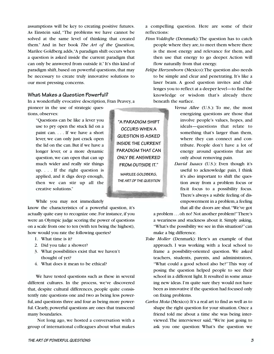assumptions will be key to creating positive futures. As Einstein said, "The problems we have cannot be solved at the same level of thinking that created them." And in her book *The Art of the Question,* Marilee Goldberg adds,"A paradigm shift occurs when a question is asked inside the current paradigm that can only be answered from outside it."It's this kind of paradigm shift, based on powerful questions, that may be necessary to create truly innovative solutions to our most pressing concerns.

#### **What Makes a Question Powerful?**

In a wonderfully evocative description, Fran Peavey, a

pioneer in the use of strategic questions, observes:

> "Questions can be like a lever you use to pry open the stuck lid on a paint can. . . . If we have a short lever, we can only just crack open the lid on the can. But if we have a longer lever, or a more dynamic question, we can open that can up much wider and really stir things up. . . . If the right question is applied, and it digs deep enough, then we can stir up all the creative solutions."

While you may not immediately

know the characteristics of a powerful question, it's actually quite easy to recognize one. For instance, if you were an Olympic judge scoring the power of questions on a scale from one to ten (with ten being the highest), how would you rate the following queries?

- 1. What time is it?
- 2. Did you take a shower?
- 3. What possibilities exist that we haven't thought of yet?
- 4. What does it mean to be ethical?

We have tested questions such as these in several different cultures. In the process, we've discovered that, despite cultural differences, people quite consistently rate questions one and two as being less powerful, and questions three and four as being more powerful. Clearly, powerful questions are ones that transcend many boundaries.

Not long ago, we hosted a conversation with a group of international colleagues about what makes

a compelling question. Here are some of their reflections:

- *Finn Voldtofte* (Denmark): The question has to catch people where they are,to meet them where there is the most energy and relevance for them, and then use that energy to go deeper. Action will flow naturally from that energy.
- *Felipe Herzenborn* (Mexico):The question also needs to be simple and clear and penetrating. It's like a laser beam. A good question invites and challenges you to reflect at a deeper level—to find the knowledge or wisdom that's already there beneath the surface.
	- *Verna Allee* (U.S.): To me, the most energizing questions are those that involve people's values, hopes, and ideals—questions that relate to something that's larger than them, where they can connect and contribute. People don't have a lot of energy around questions that are only about removing pain.
	- *David Isaacs* (U.S.): Even though it's useful to acknowledge pain, I think it's also important to shift the question away from a problem focus or fix-it focus to a possibility focus. There's always a subtle feeling of disempowerment in a problem,a feeling that all the doors are shut."We've got

a problem ...oh no! Not another problem!"There's a weariness and stuckness about it. Simply asking, "What's the possibility we see in this situation?"can make a big difference.

- *Toke Moller* (Denmark): Here's an example of that approach. I was working with a local school to frame a possibility-oriented question. We asked teachers, students, parents, and administrators, "What could a good school also be?"This way of posing the question helped people to see their school in a different light. It resulted in some amazing new ideas. I'm quite sure they would not have been as innovative if the question had focused only on fixing problems.
- *Carlos Mota* (Mexico): It's a real art to find as well as to shape the right question for your situation. Once a friend told me about a time she was being interviewed.The interviewer said,"We're just going to ask you one question: What's the question we

**THE ART OF POWERFUL QUESTIONS 3**

**"A PARADIGM SHIFT OCCURS WHEN A QUESTION IS ASKED INSIDE THE CURRENT PARADIGM THAT CAN ONLY BE ANSWERED FROM OUTSIDE IT."**

**MARILEE GOLDBERG, THE ART OF THE QUESTION**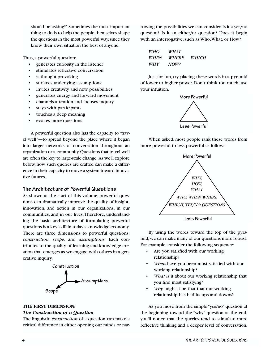should be asking?" Sometimes the most important thing to do is to help the people themselves shape the questions in the most powerful way, since they know their own situation the best of anyone.

Thus, a powerful question:

- generates curiosity in the listener
- stimulates reflective conversation
- is thought-provoking
- surfaces underlying assumptions
- invites creativity and new possibilities
- generates energy and forward movement
- channels attention and focuses inquiry
- stays with participants
- touches a deep meaning
- evokes more questions

A powerful question also has the capacity to "travel well"—to spread beyond the place where it began into larger networks of conversation throughout an organization or a community.Questions that travel well are often the key to large-scale change. As we'll explore below, how such queries are crafted can make a difference in their capacity to move a system toward innovative futures.

#### **The Architecture of Powerful Questions**

As shown at the start of this volume, powerful questions can dramatically improve the quality of insight, innovation, and action in our organizations, in our communities, and in our lives.Therefore, understanding the basic architecture of formulating powerful questions is a key skill in today's knowledge economy. There are three dimensions to powerful questions: *construction, scope,* and *assumptions.* Each contributes to the quality of learning and knowledge creation that emerges as we engage with others in a generative inquiry.



#### **THE FIRST DIMENSION:**

#### *The Construction of a Question*

The linguistic *construction* of a question can make a critical difference in either opening our minds or narrowing the possibilities we can consider. Is it a yes/no question? Is it an either/or question? Does it begin with an interrogative, such as Who,What, or How?

| WHO  | <i>WHAT</i>  |       |
|------|--------------|-------|
| WHEN | <i>WHERE</i> | WHICH |
| WHY  | HOW?         |       |

Just for fun, try placing these words in a pyramid of lower to higher power. Don't think too much; use your intuition.



When asked, most people rank these words from more powerful to less powerful as follows:



By using the words toward the top of the pyramid,we can make many of our questions more robust. For example, consider the following sequence:

- Are you satisfied with our working relationship?
- *When* have you been most satisfied with our working relationship?
- What is it about our working relationship that you find most satisfying?
- *Why* might it be that that our working relationship has had its ups and downs?

As you move from the simple "yes/no" question at the beginning toward the "why" question at the end, you'll notice that the queries tend to stimulate more reflective thinking and a deeper level of conversation.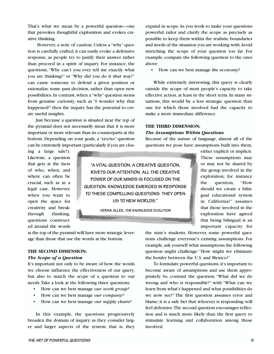That's what we mean by a powerful question—one that provokes thoughtful exploration and evokes creative thinking.

However, a note of caution: Unless a "why" question is carefully crafted, it can easily evoke a defensive response, as people try to justify their answer rather than proceed in a spirit of inquiry. For instance, the questions,"Why can't you ever tell me exactly what you are thinking?" or "Why did you do it *that* way?" can cause someone to defend a given position or rationalize some past decision, rather than open new possibilities. In contrast, when a "why"question stems from genuine curiosity, such as "I wonder why that happened?" then the inquiry has the potential to create useful insights.

Just because a question is situated near the top of the pyramid does not necessarily mean that it is more important or more relevant than its counterparts at the bottom. Depending on your goals, a "yes/no" question can be extremely important (particularly if you are closexpand in scope.As you work to make your questions powerful, tailor and clarify the scope as precisely as possible to keep them within the realistic boundaries and needs of the situation you are working with.Avoid stretching the scope of your question too far. For example, compare the following question to the ones above:

• How can we best manage *the economy?*

While extremely interesting, this query is clearly outside the scope of most people's capacity to take effective action, at least in the short term. In many situations, this would be a less strategic question than one for which those involved had the capacity to make a more immediate difference.

#### **THE THIRD DIMENSION:** *The Assumptions Within Questions*

Because of the nature of language, almost all of the questions we pose have assumptions built into them,

ing a large sale!). Likewise, a question that gets at the facts of who, when, and where can often be crucial, such as in a legal case. However, when you want to open the space for creativity and breakthrough thinking, questions constructed around the words

**"A VITAL QUESTION, A CREATIVE QUESTION, RIVETS OUR ATTENTION. ALL THE CREATIVE POWER OF OUR MINDS IS FOCUSED ON THE QUESTION. KNOWLEDGE EMERGES IN RESPONSE TO THESE COMPELLING QUESTIONS. THEY OPEN US TO NEW WORLDS."**

**VERNA ALLEE, THE KNOWLEDGE EVOLUTION**

either explicit or implicit. These assumptions may or may not be shared by the group involved in the exploration; for instance the question, "How should we create a bilingual educational system in California?" assumes that those involved in the exploration have agreed that being bilingual is an important capacity for

at the top of the pyramid will have more strategic leverage than those that use the words at the bottom.

#### **THE SECOND DIMENSION:**

#### *The Scope of a Question*

It's important not only to be aware of how the words we choose influence the effectiveness of our query, but also to match the *scope* of a question to our needs.Take a look at the following three questions:

- How can we best manage *our work group?*
- How can we best manage *our company?*
- How can we best manage *our supply chain?*

In this example, the questions progressively broaden the domain of inquiry as they consider larger and larger aspects of the system; that is, they the state's students. However, some powerful questions challenge everyone's existing assumptions. For example,ask yourself what assumptions the following question might challenge: "How might we eliminate the border between the U.S. and Mexico?"

To formulate powerful questions, it's important to become aware of assumptions and use them appropriately. So, contrast the question, "What did we do wrong and who is responsible?" with "What can we learn from what's happened and what possibilities do we now see?" The first question assumes error and blame; it is a safe bet that whoever is responding will feel defensive.The second question encourages reflection and is much more likely than the first query to stimulate learning and collaboration among those involved.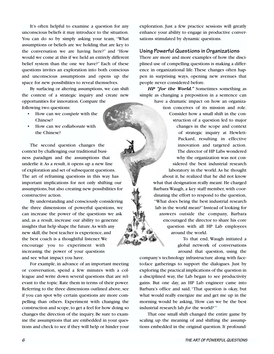It's often helpful to examine a question for any unconscious beliefs it may introduce to the situation. You can do so by simply asking your team, "What assumptions or beliefs are we holding that are key to the conversation we are having here?" and "How would we come at this if we held an entirely different belief system than the one we have?" Each of these questions invites an exploration into both conscious and unconscious assumptions and opens up the space for new possibilities to reveal themselves.

By surfacing or altering assumptions, we can shift the context of a strategic inquiry and create new opportunities for innovation. Compare the following two questions:

- How can we *compete* with the Chinese?
- How can we *collaborate* with the Chinese?

The second question changes the context by challenging our traditional business paradigm and the assumptions that underlie it.As a result, it opens up a new line of exploration and set of subsequent questions. The art of reframing questions in this way has important implications for not only shifting our assumptions,but also creating new possibilities for constructive action.

By understanding and consciously considering the three dimensions of powerful questions, we can increase the power of the questions we ask and, as a result, increase our ability to generate insights that help shape the future.As with any new skill, the best teacher is experience, and the best coach is a thoughtful listener. We encourage you to experiment with increasing the power of your questions and see what impact you have.

For example, in advance of an important meeting or conversation, spend a few minutes with a colleague and write down several questions that are relevant to the topic. Rate them in terms of their power. Referring to the three dimensions outlined above, see if you can spot why certain questions are more compelling than others. Experiment with changing the construction and scope, to get a feel for how doing so changes the direction of the inquiry. Be sure to examine the assumptions that are embedded in your questions and check to see if they will help or hinder your exploration. Just a few practice sessions will greatly enhance your ability to engage in productive conversations stimulated by dynamic questions.

#### **Using Powerful Questions in Organizations**

There are more and more examples of how the disciplined use of compelling questions is making a difference in organizational life. These changes often happen in surprising ways, opening new avenues that people never considered before.

*HP "for the World."* Sometimes something as simple as changing a preposition in a sentence can

> have a dramatic impact on how an organization conceives of its mission and role. Consider how a small shift in the construction of a question led to major changes in the scope and context of strategic inquiry at Hewlett-Packard, resulting in effective innovation and targeted action. The director of HP Labs wondered why the organization was not considered the best industrial research laboratory in the world.As he thought about it, he realized that he did not know what that designation really meant. He charged Barbara Waugh, a key staff member, with coordinating the effort to respond to the question, "What does being the best industrial research lab in the world mean?"Instead of looking for answers outside the company, Barbara encouraged the director to share his core question with all HP Lab employees around the world.

> > To that end, Waugh initiated a global network of conversations around that question, using the

company's technology infrastructure along with faceto-face gatherings to support the dialogues. Just by exploring the practical implications of the question in a disciplined way, the Lab began to see productivity gains. But one day, an HP Lab engineer came into Barbara's office and said, "That question is okay, but what would really energize me and get me up in the morning would be asking, 'How can we be the best industrial research lab *for* the world?'"

That one small shift changed the entire game by scaling up the meaning of and shifting the assumptions embedded in the original question. It profound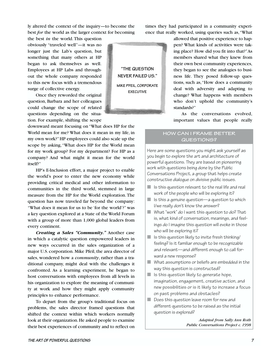ly altered the context of the inquiry—to become the best *for* the world as the larger context for becoming

the best *in* the world. This question obviously "traveled well"—it was no longer just the Lab's question, but something that many others at HP began to ask themselves as well. Employees at HP Labs and throughout the whole company responded to this new focus with a tremendous surge of collective energy.

Once they reworded the original question, Barbara and her colleagues could change the scope of related questions depending on the situation. For example, shifting the scope

downward meant focusing on "What does HP for the World mean for me? What does it mean in my life, in my own work?"HP employees could also scale up the scope by asking,"What does HP for the World mean for my work group? For my department? For HP as a company? And what might it mean for the world itself?"

HP's E-Inclusion effort, a major project to enable the world's poor to enter the new economy while providing critical medical and other information to communities in the third world, stemmed in large measure from the HP for the World exploration.The question has now traveled far beyond the company: "What does it mean for us to be 'for the world'?" was a key question explored at a State of the World Forum with a group of more than 1,000 global leaders from every continent.

*Creating a Sales "Community."* Another case in which a catalytic question empowered leaders in new ways occurred in the sales organization of a major U.S. corporation. Mike Pfeil, the area director of sales, wondered how a *community*, rather than a traditional company, might deal with the challenges it confronted. As a learning experiment, he began to host conversations with employees from all levels in his organization to explore the meaning of community at work and how they might apply community principles to enhance performance.

To depart from the group's traditional focus on problems, the sales director framed questions that shifted the context within which workers normally look at their organization. He asked people to examine their best experiences of community and to reflect on



times they had participated in a community experience that really worked, using queries such as,"What

> allowed that positive experience to happen? What kinds of activities were taking place? How did you fit into that?"As members shared what they knew from their own best community experiences, they began to see the analogies to business life. They posed follow-up questions, such as,"How does a community deal with adversity and adapting to change? What happens with members who don't uphold the community's standards?"

> As the conversations evolved, important values that people really

#### **HOW CAN I FRAME BETTER QUESTIONS?**

Here are some questions you might ask yourself as you begin to explore the art and architecture of powerful questions. They are based on pioneering work with questions being done by the Public Conversations Project, a group that helps create constructive dialogue on divisive public issues.

- $\blacksquare$  Is this question relevant to the real life and real work of the people who will be exploring it?
- $\blacksquare$  Is this a genuine question—a question to which I/we really don't know the answer?
- $\blacksquare$  What "work" do I want this question to do? That is, what kind of conversation, meanings, and feelings do I imagine this question will evoke in those who will be exploring it?
- $\blacksquare$  Is this question likely to invite fresh thinking/ feeling? Is it familiar enough to be recognizable and relevant—and different enough to call forward a new response?
- What assumptions or beliefs are embedded in the way this question is constructed?
- $\blacksquare$  Is this question likely to generate hope, imagination, engagement, creative action, and new possibilities or is it likely to increase a focus on past problems and obstacles?
- Does this question leave room for new and different questions to be raised as the initial question is explored?

*Adapted from Sally Ann Roth Public Conversations Project c. 1998*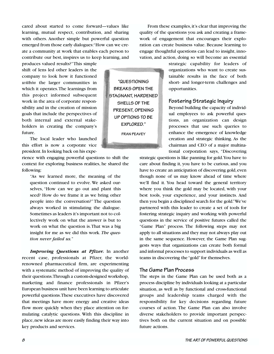cared about started to come forward—values like learning, mutual respect, contribution, and sharing with others. Another simple but powerful question emerged from those early dialogues:"How can we create a community at work that enables each person to contribute our best, inspires us to keep learning, and

produces valued results?"This simple shift of lens led other leaders in the company to look how it functioned *within* the larger communities in which it operates.The learnings from this project informed subsequent work in the area of corporate responsibility and in the creation of mission goals that include the perspectives of both internal and external stakeholders in creating the company's future.

The local leader who launched this effort is now a corporate vice president.In looking back on his expe-

rience with engaging powerful questions to shift the context for exploring business realities, he shared the following:

"As we learned more, the meaning of the question continued to evolve. We asked ourselves, "How can we go out and plant this seed? How do we frame it as we bring other people into the conversation?" The question always worked in stimulating the dialogue. Sometimes as leaders it's important not to collectively work on what the answer is but to work on what the question is.That was a big insight for me as we did this work. *The question never failed us.*"

*Improving Questions at Pfizer.* In another recent case, professionals at Pfizer, the worldrenowned pharmaceutical firm, are experimenting with a systematic method of improving the quality of their questions.Through a custom-designed workshop, marketing and finance professionals in Pfizer's European business unit have been learning to articulate powerful questions.These executives have discovered that meetings have more energy and creative ideas flow more quickly when they place attention on formulating catalytic questions. With this discipline in place,new ideas are more easily finding their way into key products and services.

**"QUESTIONING BREAKS OPEN THE STAGNANT, HARDENED SHELLS OF THE PRESENT, OPENING UP OPTIONS TO BE EXPLORED."**

**FRAN PEAVEY**

From these examples, it's clear that improving the quality of the questions you ask and creating a framework of engagement that encourages their exploration can create business value. Because learning to engage thoughtful questions can lead to insight, innovation, and action, doing so will become an essential

> strategic capability for leaders of organizations who want to create sustainable results in the face of both short- and longer-term challenges and opportunities.

#### **Fostering Strategic Inquiry**

Beyond building the capacity of individual employees to ask powerful questions, an organization can design processes that use such queries to enhance the emergence of knowledge creation and strategic thinking. As the chairman and CEO of a major multinational corporation says, "Discovering

strategic questions is like panning for gold.You have to care about finding it, you have to be curious, and you have to create an anticipation of discovering gold, even though none of us may know ahead of time where we'll find it. You head toward the general territory where you think the gold may be located, with your best tools, your experience, and your instincts. And then you begin a disciplined search for the gold."We've partnered with this leader to create a set of tools for fostering strategic inquiry and working with powerful questions in the service of positive futures called the "Game Plan" process. The following steps may not apply to all situations and they may not always play out in the same sequence. However, the Game Plan suggests ways that organizations can create both formal and informal processes to support individuals as well as teams in discovering the "gold" for themselves.

#### **The Game Plan Process**

The steps in the Game Plan can be used both as a process discipline by individuals looking at a particular situation, as well as by functional and cross-functional groups and leadership teams charged with the responsibility for key decisions regarding future courses of action. The Game Plan can also involve diverse stakeholders to provide important perspectives both on the current situation and on possible future actions.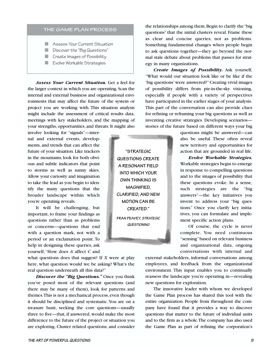#### **THE GAME PLAN PROCESS**

- Assess Your Current Situation
- Discover the "Big Questions"
- Create Images of Possibility
- Evolve Workable Strategies

*Assess Your Current Situation.* Get a feel for the larger context in which you are operating.Scan the internal and external business and organizational environments that may affect the future of the system or project you are working with. This situation analysis might include the assessment of critical results data, meetings with key stakeholders, and the mapping of your strengths, opportunities, and threats. It might also

involve looking for "signals"—internal and external events, developments, and trends that can affect the future of your situation. Like trackers in the mountains, look for both obvious and subtle indicators that point to storms as well as sunny skies. Allow your curiosity and imagination to take the lead as you begin to identify the many questions that the broader landscape within which you're operating reveals.

It will be challenging, but important, to frame your findings as questions rather than as problems or concerns—questions that end with a question mark, not with a period or an exclamation point. To help in designing these queries, ask yourself, "How does *A* affect *C* and

what questions does that suggest? If *X* were at play here, what question would we be asking? What's the real question underneath all this data?"

*Discover the "Big Questions."* Once you think you've posed most of the relevant questions (and there may be many of them), look for patterns and themes. This is not a mechanical process, even though it should be disciplined and systematic.You are on a treasure hunt, seeking the core questions—usually three to five—that, if answered, would make the most difference to the future of the project or situation you are exploring. Cluster related questions, and consider

the relationships among them.Begin to clarify the "big questions" that the initial clusters reveal. Frame these as clear and concise queries, not as problems. Something fundamental changes when people begin to ask questions together—they go beyond the normal stale debate about problems that passes for strategy in many organizations.

*Create Images of Possibility.* Ask yourself, "What would our situation look like or be like if the 'big questions' were answered?"Creating vivid images of possibility differs from pie-in-the-sky visioning, especially if people with a variety of perspectives have participated in the earlier stages of your analysis. This part of the conversation can also provide clues for refining or reframing your big questions as well as inventing creative strategies. Developing scenarios stories of the future based on different ways your big

> questions might be answered—can also be useful. These often reveal new territory and opportunities for action that are grounded in real life.

> *Evolve Workable Strategies.* Workable strategies begin to emerge in response to compelling questions and to the images of possibility that these questions evoke. In a sense, such strategies are the "big answers"—the key initiatives you invent to address your "big questions." Once you clarify key initiatives, you can formulate and implement specific action plans.

> Of course, the cycle is never complete. You need continuous "sensing"based on relevant business and organizational data, ongoing conversations with internal and

external stakeholders, informal conversations among employees, and feedback from the organizational environment. This input enables you to continually reassess the landscape you're operating in—revealing new questions for exploration.

The innovative leader with whom we developed the Game Plan process has shared this tool with the entire organization. People from throughout the company have found that it provides a way to discover questions that matter to the future of individual units and to the firm as a whole.The company has also used the Game Plan as part of refining the corporation's

**"STRATEGIC QUESTIONS CREATE A RESONANT FIELD INTO WHICH YOUR OWN THINKING IS MAGNIFIED, CLARIFIED, AND NEW MOTION CAN BE CREATED."**

**FRAN PEAVEY, STRATEGIC QUESTIONING**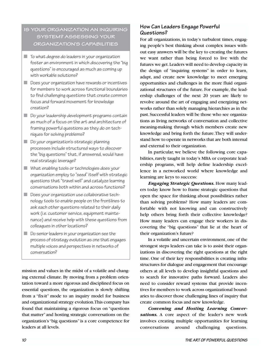#### **IS YOUR ORGANIZATION AN INQUIRING SYSTEM? ASSESSING YOUR ORGANIZATION'S CAPABILITIES**

- To what degree do leaders in your organization foster an environment in which discovering the "big questions" is encouraged as much as coming up with workable solutions?
- Does your organization have rewards or incentives for members to work across functional boundaries to find challenging questions that create common focus and forward movement for knowledge creation?
- Do your leadership development programs contain as much of a focus on the art and architecture of framing powerful questions as they do on techniques for solving problems?
- Do your organization's strategic planning processes include structured ways to discover the "big questions" that, if answered, would have real strategic leverage?
- What enabling tools or technologies does your organization employ to "seed" itself with strategic questions that "travel well" and catalyze learning conversations both within and across functions?
- Does your organization use collaborative technology tools to enable people on the frontlines to ask each other questions related to their daily work (i.e. customer service, equipment maintenance) and receive help with these questions from colleagues in other locations?
- Do senior leaders in your organization see the process of strategy evolution as one that engages multiple voices and perspectives in networks of conversation?

mission and values in the midst of a volatile and changing external climate. By moving from a problem orientation toward a more rigorous and disciplined focus on essential questions, the organization is slowly shifting from a "fix-it" mode to an inquiry model for business and organizational strategy evolution.This company has found that maintaining a rigorous focus on "questions that matter" and hosting strategic conversations on the organization's "big questions" is a core competence for leaders at all levels.

#### **How Can Leaders Engage Powerful Questions?**

For all organizations, in today's turbulent times, engaging people's best thinking about complex issues without easy answers will be the key to creating the futures we want rather than being forced to live with the futures we get.Leaders will need to develop capacity in the design of "inquiring systems" in order to learn, adapt, and create new knowledge to meet emerging opportunities and challenges in the more fluid organizational structures of the future. For example, the leadership challenges of the next 20 years are likely to revolve around the art of engaging and energizing networks rather than solely managing hierarchies as in the past.Successful leaders will be those who see organizations as living networks of conversation and collective meaning-making through which members create new knowledge and bring forth the future.They will understand how to operate in networks that are both internal and external to their organization.

In particular, we believe the following core capabilities, rarely taught in today's MBA or corporate leadership programs, will help define leadership excellence in a networked world where knowledge and learning are keys to success:

*Engaging Strategic Questions.* How many leaders today know how to frame strategic questions that open the space for thinking about possibilities rather than solving problems? How many leaders are comfortable with not knowing and can constructively help others bring forth their collective knowledge? How many leaders can engage their workers in discovering the "big questions" that lie at the heart of their organization's future?

In a volatile and uncertain environment, one of the strongest steps leaders can take is to assist their organizations in discovering the right questions at the right time. One of their key responsibilities is creating infrastructures for dialogue and engagement that encourage others at all levels to develop insightful questions and to search for innovative paths forward. Leaders also need to consider reward systems that provide incentives for members to work across organizational boundaries to discover those challenging lines of inquiry that create common focus and new knowledge.

*Convening and Hosting Learning Conver*sations. A core aspect of the leader's new work involves creating multiple opportunities for learning conversations around challenging questions.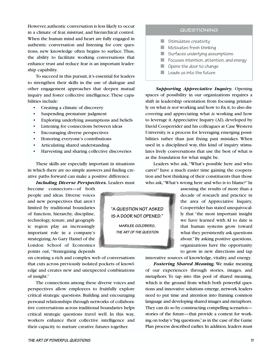However,authentic conversation is less likely to occur in a climate of fear, mistrust, and hierarchical control. When the human mind and heart are fully engaged in authentic conversation and listening for core questions, new knowledge often begins to surface. Thus, the ability to facilitate working conversations that enhance trust and reduce fear is an important leadership capability.

To succeed in this pursuit, it's essential for leaders to strengthen their skills in the use of dialogue and other engagement approaches that deepen mutual inquiry and foster collective intelligence.These capabilities include:

- Creating a climate of discovery
- Suspending premature judgment
- Exploring underlying assumptions and beliefs
- Listening for connections between ideas
- Encouraging diverse perspectives
- Honoring everyone's contributions
- Articulating shared understanding
- Harvesting and sharing collective discoveries

These skills are especially important in situations in which there are no simple answers and finding creative paths forward can make a positive difference.

*Including Diverse Perspectives.* Leaders must

become connectors—of both people and ideas. Diverse voices and new perspectives that aren't limited by traditional boundaries of function, hierarchy, discipline, technology, tenure, and geographic region play an increasingly important role in a company's strategizing.As Gary Hamel of the London School of Economics points out, "Strategizing depends

on creating a rich and complex web of conversations that cuts across previously isolated pockets of knowledge and creates new and unexpected combinations of insight."

The connections among these diverse voices and perspectives allow employees to fruitfully explore critical strategic questions. Building and encouraging personal relationships through networks of collaborative conversations across traditional boundaries helps critical strategic questions travel well. In this way, workers enhance their collective intelligence and their capacity to nurture creative futures together.

## **"A QUESTION NOT ASKED IS A DOOR NOT OPENED." MARILEE GOLDBERG, THE ART OF THE QUESTION**

#### **QUESTIONING**

- Stimulates creativity
- Motivates fresh thinking
- Surfaces underlying assumptions
- Focuses intention, attention, and energy
- Opens the door to change
- $\blacksquare$  Leads us into the future

*Supporting Appreciative Inquiry.* Opening spaces of possibility in our organizations requires a shift in leadership orientation from focusing primarily on what *is not* working and how to fix it, to also discovering and appreciating what *is* working and how to leverage it.Appreciative Inquiry (AI), developed by David Cooperrider and his colleagues at Case Western University, is a process for leveraging emerging possibilities rather than just fixing past mistakes. When used in a disciplined way, this kind of inquiry stimulates lively conversations that use the best of what is as the foundation for what might be.

Leaders who ask,"What's possible here and who cares?" have a much easier time gaining the cooperation and best thinking of their constituents than those who ask,"What's wrong here and who is to blame?"In

> assessing the results of more than a decade of research and practice in the area of Appreciative Inquiry, Cooperrider has stated unequivocally that "the most important insight we have learned with AI to date is that human systems grow toward what they persistently ask questions about."By asking positive questions, organizations have the opportunity to grow in new directions and tap

innovative sources of knowledge, vitality, and energy.

*Fostering Shared Meaning.* We make meaning of our experiences through stories, images, and metaphors. To tap into this pool of shared meaning, which is the ground from which both powerful questions and innovative solutions emerge, network leaders need to put time and attention into framing common language and developing shared images and metaphors. They can do so by constructing compelling scenarios stories of the future—that provide a context for working on today's "big questions,"as in the case of the Game Plan process described earlier. In addition, leaders must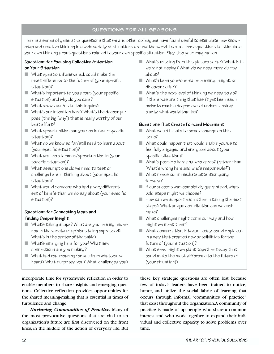#### **QUESTIONS FOR ALL SEASONS**

Here is a series of generative questions that we and other colleagues have found useful to stimulate new knowledge and creative thinking in a wide variety of situations around the world. Look at these questions to stimulate your own thinking about questions related to your own specific situation. Play. Use your imagination.

#### **Questions for Focusing Collective Attention on Your Situation**

- What question, if answered, could make the most difference to the future of (your specific situation)?
- What's important to you about (your specific situation) and why do you care?
- What draws you/us to this inquiry?
- What's our intention here? What's the deeper purpose (the big "why") that is really worthy of our best effort?
- What opportunities can you see in (your specific situation)?
- What do we know so far/still need to learn about (your specific situation)?
- What are the dilemmas/opportunities in (your specific situation)?
- What assumptions do we need to test or challenge here in thinking about (your specific situation)?
- What would someone who had a very different set of beliefs than we do say about (your specific situation)?

#### **Questions for Connecting Ideas and Finding Deeper Insight**

- What's taking shape? What are you hearing underneath the variety of opinions being expressed? What's in the center of the table?
- What's emerging here for you? What new connections are you making?
- What had real meaning for you from what you've heard? What surprised you? What challenged you?

incorporate time for systemwide reflection in order to enable members to share insights and emerging questions. Collective reflection provides opportunities for the shared meaning-making that is essential in times of turbulence and change.

*Nurturing Communities of Practice.* Many of the most provocative questions that are vital to an organization's future are first discovered on the front lines, in the middle of the action of everyday life. But

- $\blacksquare$  What's missing from this picture so far? What is it we're not seeing? What do we need more clarity about?
- What's been your/our major learning, insight, or discover so far?
- What's the next level of thinking we need to do?
- If there was one thing that hasn't yet been said in order to reach a deeper level of understanding/ clarity, what would that be?

#### **Questions That Create Forward Movement**

- What would it take to create change on this issue?
- What could happen that would enable you/us to feel fully engaged and energized about (your specific situation)?
- What's possible here and who cares? (rather than "What's wrong here and who's responsible?")
- What needs our immediate attention going forward?
- $\blacksquare$  If our success was completely quaranteed, what bold steps might we choose?
- How can we support each other in taking the next steps? What unique contribution can we each make?
- What challenges might come our way and how might we meet them?
- What conversation, if begun today, could ripple out in a way that created new possibilities for the future of (your situation)?
- What seed might we plant together today that could make the most difference to the future of (your situation)?

these key strategic questions are often lost because few of today's leaders have been trained to notice, honor, and utilize the social fabric of learning that occurs through informal "communities of practice" that exist throughout the organization.A community of practice is made of up people who share a common interest and who work together to expand their individual and collective capacity to solve problems over time.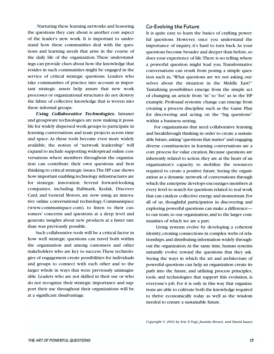Nurturing these learning networks and honoring the questions they care about is another core aspect of the leader's new work. It is important to understand how these communities deal with the questions and learning needs that arise in the course of the daily life of the organization. These understandings can provide clues about how the knowledge that resides in such communities might be engaged in the service of critical strategic questions. Leaders who take communities of practice into account as important strategic assets help assure that new work processes or organizational structures do not destroy the fabric of collective knowledge that is woven into these informal groups.

*Using Collaborative Technologies.* Intranet and groupware technologies are now making it possible for widely dispersed work groups to participate in learning conversations and team projects across time and space.As these tools become even more widely available, the notion of "network leadership" will expand to include supporting widespread online conversations where members throughout the organization can contribute their own questions and best thinking to critical strategic issues.The HP case shows how important enabling technology infrastructures are for strategic innovation. Several forward-looking companies, including Hallmark, Kodak, Discover Card, and General Motors, are now using an innovative online conversational technology, Communispace (www.communispace.com), to listen to their customers' concerns and questions at a deep level and generate insights about new products at a faster rate than was previously possible.

Such collaborative tools will be a critical factor in how well strategic questions can travel both within the organization and among customers and other stakeholders who are key to success.These technologies of engagement create possibilities for individuals and groups to connect with each other and to the larger whole in ways that were previously unimaginable. Leaders who are not skilled in their use or who do not recognize their strategic importance and support their use throughout their organizations will be at a significant disadvantage.

#### **Co-Evolving the Future**

It is quite easy to learn the basics of crafting powerful questions. However, once you understand the importance of inquiry, it's hard to turn back.As your questions become broader and deeper than before,so does your experience of life.There is no telling where a powerful question might lead you. Transformative conversations can result from posing a simple question such as,"What questions are we not asking ourselves about the situation in the Middle East?" Tantalizing possibilities emerge from the simple act of changing an article from "in" to "for," as in the HP example. Profound systemic change can emerge from creating a process discipline such as the Game Plan for discovering and acting on the "big questions" within a business setting.

For organizations that need collaborative learning and breakthrough thinking in order to create a sustainable future, asking "questions that matter" and engaging diverse constituencies in learning conversations are a core process for value creation. Because questions are inherently related to action, they are at the heart of an organization's capacity to mobilize the resources required to create a positive future. Seeing the organization as a dynamic network of conversations through which the enterprise develops encourages members at every level to search for questions related to real work that can catalyze collective energy and momentum.For all of us, thoughtful participation in discovering and exploring powerful questions can make a difference to our team, to our organization, and to the larger communities of which we are a part.

Living systems evolve by developing a coherent identity, creating connections in complex webs of relationships,and distributing information widely throughout the organization.At the same time, human systems naturally evolve toward the questions that they ask. Seeing the ways in which the art and architecture of powerful questions can help an organization create its path into the future, and utilizing process principles, tools, and technologies that support this evolution, is everyone's job. For it is only in this way that organizations are able to cultivate both the knowledge required to thrive economically today as well as the wisdom needed to ensure a sustainable future.

*Copyright © 2003 by Eric E.Vogt, Juanita Brown, and David Isaacs*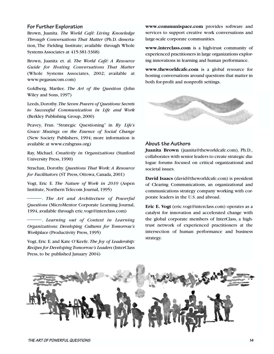#### **For Further Exploration**

Brown, Juanita. *The World Café: Living Knowledge Through Conversations That Matter* (Ph.D. dissertation, The Fielding Institute; available through Whole Systems Associates at 415-381-3368)

Brown, Juanita et. al. *The World Café: A Resource Guide for Hosting Conversations That Matter* (Whole Systems Associates, 2002; available at www.pegasuscom.com)

Goldberg, Marilee. *The Art of the Question* (John Wiley and Sons, 1997)

Leeds, Dorothy. The Seven Powers of Questions: Secrets *to Successful Communication in Life and Work* (Berkley Publishing Group, 2000)

Peavey, Fran. "Strategic Questioning" in *By Life's Grace: Musings on the Essence of Social Change* (New Society Publishers, 1994; more information is available at www.crabgrass.org)

Ray, Michael. *Creativity in Organizations* (Stanford University Press, 1990)

Strachan, Dorothy. *Questions That Work: A Resource for Facilitators* (ST Press, Ottowa, Canada, 2001)

Vogt, Eric E. *The Nature of Work in 2010* (Aspen Institute, Northern Telecom Journal, 1995)

. *The Art and Architecture of Powerful Questions* (MicroMentor Corporate Learning Journal, 1994, available through eric.vogt@interclass.com)

. *Learning out of Context in Learning Organizations: Developing Cultures for Tomorrow's Workplace* (Productivity Press, 1995)

Vogt, Eric E. and Kate O'Keefe. *The Joy of Leadership: Recipes for Developing Tomorrow's Leaders* (InterClass Press, to be published January 2004)

**[www.communispace.com](http://www.communispace.com)** provides software and services to support creative work conversations and large-scale corporate communities.

**[www.interclass.com](http://www.inerclass.com)** is a high-trust community of experienced practitioners in large organizations exploring innovations in learning and human performance.

**[www.theworldcafe.com](http://www.theworldcafe.com)** is a global resource for hosting conversations around questions that matter in both for-profit and nonprofit settings.



#### **About the Authors**

**Juanita Brown** [\(juanita@theworldcafe.com\)](mailto:juanita@theworldcafe.com), Ph.D., collaborates with senior leaders to create strategic dialogue forums focused on critical organizational and societal issues.

**David Isaacs** [\(david@theworldcafe.com\)](mailto:david@theworldcafe.com) is president of Clearing Communications, an organizational and communications strategy company working with corporate leaders in the U.S. and abroad.

**Eric E. Vogt** [\(eric.vogt@interclass.com](mailto:eric.vogt@interclass.com)) operates as a catalyst for innovation and accelerated change with the global corporate members of InterClass, a hightrust network of experienced practitioners at the intersection of human performance and business strategy.